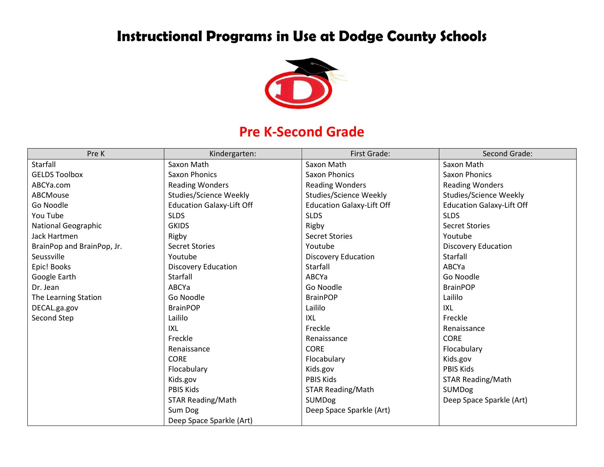# **Instructional Programs in Use at Dodge County Schools**



#### **Pre K-Second Grade**

| Pre K                      | Kindergarten:                    | First Grade:                     | Second Grade:                    |
|----------------------------|----------------------------------|----------------------------------|----------------------------------|
| Starfall                   | Saxon Math                       | Saxon Math                       | Saxon Math                       |
| <b>GELDS Toolbox</b>       | Saxon Phonics                    | Saxon Phonics                    | <b>Saxon Phonics</b>             |
| ABCYa.com                  | <b>Reading Wonders</b>           | <b>Reading Wonders</b>           | <b>Reading Wonders</b>           |
| <b>ABCMouse</b>            | Studies/Science Weekly           | <b>Studies/Science Weekly</b>    | Studies/Science Weekly           |
| Go Noodle                  | <b>Education Galaxy-Lift Off</b> | <b>Education Galaxy-Lift Off</b> | <b>Education Galaxy-Lift Off</b> |
| You Tube                   | <b>SLDS</b>                      | <b>SLDS</b>                      | <b>SLDS</b>                      |
| <b>National Geographic</b> | <b>GKIDS</b>                     | Rigby                            | <b>Secret Stories</b>            |
| Jack Hartmen               | Rigby                            | <b>Secret Stories</b>            | Youtube                          |
| BrainPop and BrainPop, Jr. | <b>Secret Stories</b>            | Youtube                          | Discovery Education              |
| Seussville                 | Youtube                          | <b>Discovery Education</b>       | Starfall                         |
| Epic! Books                | <b>Discovery Education</b>       | Starfall                         | ABCYa                            |
| Google Earth               | Starfall                         | ABCYa                            | Go Noodle                        |
| Dr. Jean                   | ABCYa                            | Go Noodle                        | <b>BrainPOP</b>                  |
| The Learning Station       | Go Noodle                        | <b>BrainPOP</b>                  | Laililo                          |
| DECAL.ga.gov               | <b>BrainPOP</b>                  | Laililo                          | <b>IXL</b>                       |
| Second Step                | Laililo                          | IXL                              | Freckle                          |
|                            | IXL                              | Freckle                          | Renaissance                      |
|                            | Freckle                          | Renaissance                      | <b>CORE</b>                      |
|                            | Renaissance                      | <b>CORE</b>                      | Flocabulary                      |
|                            | <b>CORE</b>                      | Flocabulary                      | Kids.gov                         |
|                            | Flocabulary                      | Kids.gov                         | <b>PBIS Kids</b>                 |
|                            | Kids.gov                         | <b>PBIS Kids</b>                 | <b>STAR Reading/Math</b>         |
|                            | <b>PBIS Kids</b>                 | <b>STAR Reading/Math</b>         | SUMDog                           |
|                            | <b>STAR Reading/Math</b>         | <b>SUMDog</b>                    | Deep Space Sparkle (Art)         |
|                            | Sum Dog                          | Deep Space Sparkle (Art)         |                                  |
|                            | Deep Space Sparkle (Art)         |                                  |                                  |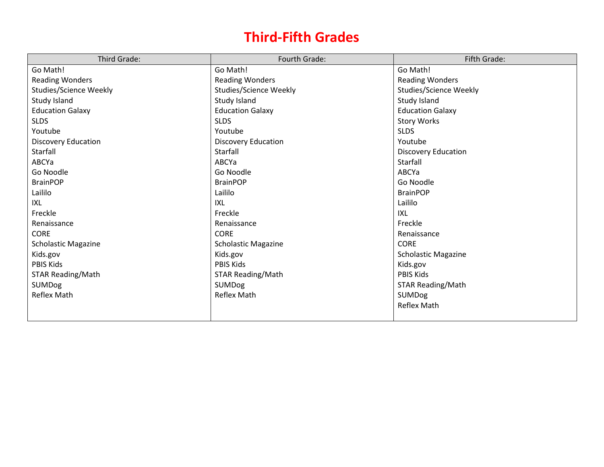## **Third-Fifth Grades**

| Third Grade:             | Fourth Grade:                 | Fifth Grade:               |
|--------------------------|-------------------------------|----------------------------|
| Go Math!                 | Go Math!                      | Go Math!                   |
| <b>Reading Wonders</b>   | <b>Reading Wonders</b>        | <b>Reading Wonders</b>     |
| Studies/Science Weekly   | <b>Studies/Science Weekly</b> | Studies/Science Weekly     |
| Study Island             | Study Island                  | Study Island               |
| <b>Education Galaxy</b>  | <b>Education Galaxy</b>       | <b>Education Galaxy</b>    |
| <b>SLDS</b>              | <b>SLDS</b>                   | <b>Story Works</b>         |
| Youtube                  | Youtube                       | <b>SLDS</b>                |
| Discovery Education      | <b>Discovery Education</b>    | Youtube                    |
| Starfall                 | Starfall                      | <b>Discovery Education</b> |
| ABCYa                    | ABCYa                         | Starfall                   |
| Go Noodle                | Go Noodle                     | ABCYa                      |
| <b>BrainPOP</b>          | <b>BrainPOP</b>               | Go Noodle                  |
| Laililo                  | Laililo                       | <b>BrainPOP</b>            |
| IXL                      | IXL                           | Laililo                    |
| Freckle                  | Freckle                       | <b>IXL</b>                 |
| Renaissance              | Renaissance                   | Freckle                    |
| <b>CORE</b>              | <b>CORE</b>                   | Renaissance                |
| Scholastic Magazine      | <b>Scholastic Magazine</b>    | <b>CORE</b>                |
| Kids.gov                 | Kids.gov                      | <b>Scholastic Magazine</b> |
| PBIS Kids                | PBIS Kids                     | Kids.gov                   |
| <b>STAR Reading/Math</b> | <b>STAR Reading/Math</b>      | <b>PBIS Kids</b>           |
| <b>SUMDog</b>            | <b>SUMDog</b>                 | <b>STAR Reading/Math</b>   |
| <b>Reflex Math</b>       | <b>Reflex Math</b>            | SUMDog                     |
|                          |                               | <b>Reflex Math</b>         |
|                          |                               |                            |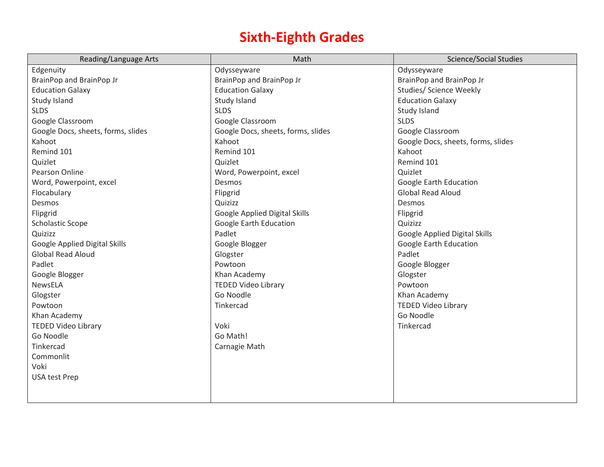## **Sixth-Eighth Grades**

| Reading/Language Arts              | Math                               | <b>Science/Social Studies</b>      |
|------------------------------------|------------------------------------|------------------------------------|
| Edgenuity                          | Odysseyware                        | Odysseyware                        |
| BrainPop and BrainPop Jr           | BrainPop and BrainPop Jr           | BrainPop and BrainPop Jr           |
| <b>Education Galaxy</b>            | <b>Education Galaxy</b>            | Studies/ Science Weekly            |
| Study Island                       | Study Island                       | <b>Education Galaxy</b>            |
| <b>SLDS</b>                        | <b>SLDS</b>                        | Study Island                       |
| Google Classroom                   | Google Classroom                   | <b>SLDS</b>                        |
| Google Docs, sheets, forms, slides | Google Docs, sheets, forms, slides | Google Classroom                   |
| Kahoot                             | Kahoot                             | Google Docs, sheets, forms, slides |
| Remind 101                         | Remind 101                         | Kahoot                             |
| Quizlet                            | Quizlet                            | Remind 101                         |
| Pearson Online                     | Word, Powerpoint, excel            | Quizlet                            |
| Word, Powerpoint, excel            | Desmos                             | Google Earth Education             |
| Flocabulary                        | Flipgrid                           | <b>Global Read Aloud</b>           |
| Desmos                             | Quizizz                            | Desmos                             |
| Flipgrid                           | Google Applied Digital Skills      | Flipgrid                           |
| <b>Scholastic Scope</b>            | Google Earth Education             | Quizizz                            |
| Quizizz                            | Padlet                             | Google Applied Digital Skills      |
| Google Applied Digital Skills      | Google Blogger                     | Google Earth Education             |
| <b>Global Read Aloud</b>           | Glogster                           | Padlet                             |
| Padlet                             | Powtoon                            | Google Blogger                     |
| Google Blogger                     | Khan Academy                       | Glogster                           |
| <b>NewsELA</b>                     | <b>TEDED Video Library</b>         | Powtoon                            |
| Glogster                           | Go Noodle                          | Khan Academy                       |
| Powtoon                            | Tinkercad                          | <b>TEDED Video Library</b>         |
| Khan Academy                       |                                    | Go Noodle                          |
| <b>TEDED Video Library</b>         | Voki                               | Tinkercad                          |
| Go Noodle                          | Go Math!                           |                                    |
| Tinkercad                          | Carnagie Math                      |                                    |
| Commonlit                          |                                    |                                    |
| Voki                               |                                    |                                    |
| <b>USA test Prep</b>               |                                    |                                    |
|                                    |                                    |                                    |
|                                    |                                    |                                    |